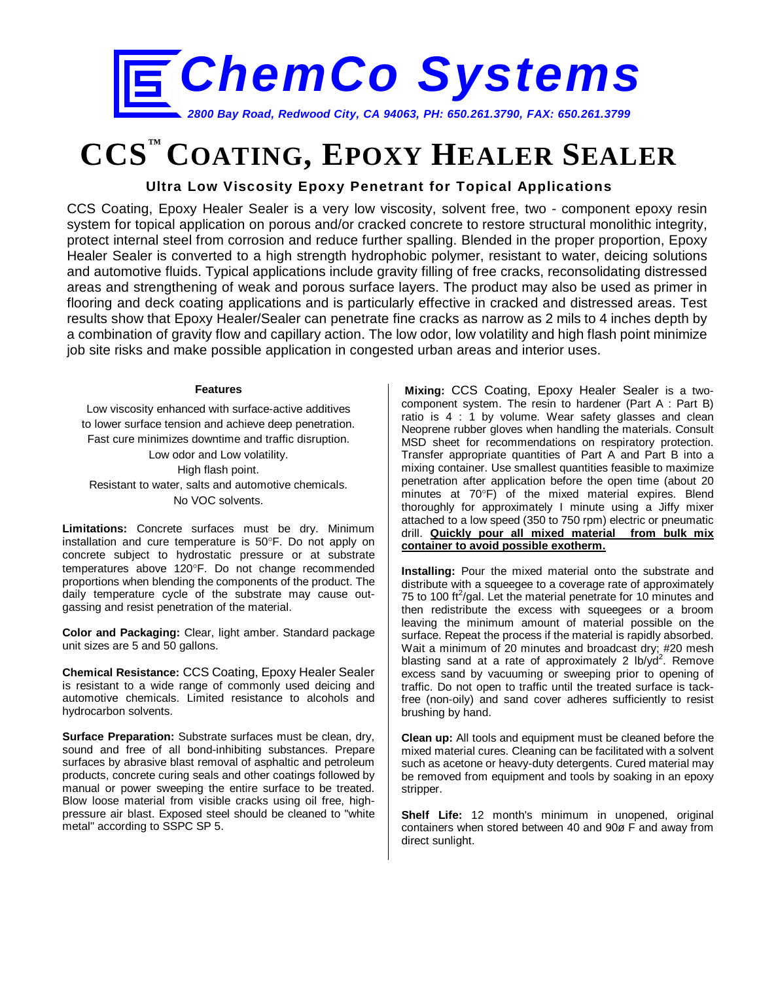

# **CCS™ COATING, EPOXY HEALER SEALER**

## **Ultra Low Viscosity Epoxy Penetrant for Topical Applications**

CCS Coating, Epoxy Healer Sealer is a very low viscosity, solvent free, two - component epoxy resin system for topical application on porous and/or cracked concrete to restore structural monolithic integrity, protect internal steel from corrosion and reduce further spalling. Blended in the proper proportion, Epoxy Healer Sealer is converted to a high strength hydrophobic polymer, resistant to water, deicing solutions and automotive fluids. Typical applications include gravity filling of free cracks, reconsolidating distressed areas and strengthening of weak and porous surface layers. The product may also be used as primer in flooring and deck coating applications and is particularly effective in cracked and distressed areas. Test results show that Epoxy Healer/Sealer can penetrate fine cracks as narrow as 2 mils to 4 inches depth by a combination of gravity flow and capillary action. The low odor, low volatility and high flash point minimize job site risks and make possible application in congested urban areas and interior uses.

#### **Features**

Low viscosity enhanced with surface-active additives to lower surface tension and achieve deep penetration. Fast cure minimizes downtime and traffic disruption. Low odor and Low volatility. High flash point. Resistant to water, salts and automotive chemicals. No VOC solvents.

**Limitations:** Concrete surfaces must be dry. Minimum installation and cure temperature is 50°F. Do not apply on concrete subject to hydrostatic pressure or at substrate temperatures above 120°F. Do not change recommended proportions when blending the components of the product. The daily temperature cycle of the substrate may cause outgassing and resist penetration of the material.

**Color and Packaging:** Clear, light amber. Standard package unit sizes are 5 and 50 gallons.

**Chemical Resistance:** CCS Coating, Epoxy Healer Sealer is resistant to a wide range of commonly used deicing and automotive chemicals. Limited resistance to alcohols and hydrocarbon solvents.

**Surface Preparation:** Substrate surfaces must be clean, dry, sound and free of all bond-inhibiting substances. Prepare surfaces by abrasive blast removal of asphaltic and petroleum products, concrete curing seals and other coatings followed by manual or power sweeping the entire surface to be treated. Blow loose material from visible cracks using oil free, highpressure air blast. Exposed steel should be cleaned to "white metal" according to SSPC SP 5.

**Mixing:** CCS Coating, Epoxy Healer Sealer is a twocomponent system. The resin to hardener (Part A : Part B) ratio is 4 : 1 by volume. Wear safety glasses and clean Neoprene rubber gloves when handling the materials. Consult MSD sheet for recommendations on respiratory protection. Transfer appropriate quantities of Part A and Part B into a mixing container. Use smallest quantities feasible to maximize penetration after application before the open time (about 20 minutes at 70°F) of the mixed material expires. Blend thoroughly for approximately I minute using a Jiffy mixer attached to a low speed (350 to 750 rpm) electric or pneumatic drill. **Quickly pour all mixed material from bulk mix container to avoid possible exotherm.**

**Installing:** Pour the mixed material onto the substrate and distribute with a squeegee to a coverage rate of approximately 75 to 100 ft<sup>2</sup>/gal. Let the material penetrate for 10 minutes and then redistribute the excess with squeegees or a broom leaving the minimum amount of material possible on the surface. Repeat the process if the material is rapidly absorbed. Wait a minimum of 20 minutes and broadcast dry; #20 mesh blasting sand at a rate of approximately 2  $lb/yd^2$ . Remove excess sand by vacuuming or sweeping prior to opening of traffic. Do not open to traffic until the treated surface is tackfree (non-oily) and sand cover adheres sufficiently to resist brushing by hand.

**Clean up:** All tools and equipment must be cleaned before the mixed material cures. Cleaning can be facilitated with a solvent such as acetone or heavy-duty detergents. Cured material may be removed from equipment and tools by soaking in an epoxy stripper.

**Shelf Life:** 12 month's minimum in unopened, original containers when stored between 40 and 90ø F and away from direct sunlight.